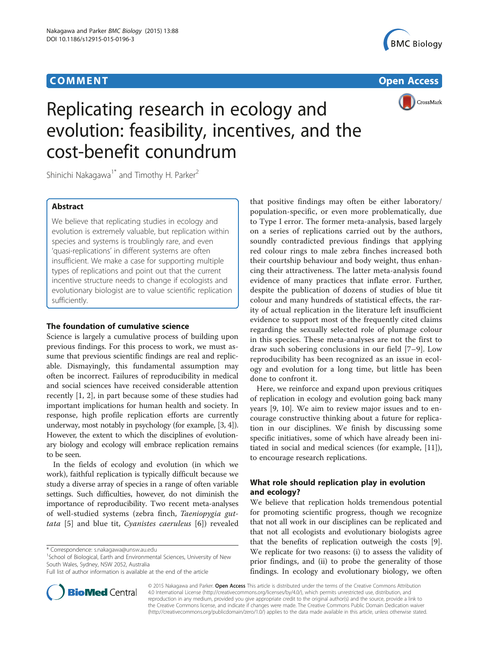## **COMMENT COMMENT COMMENT**





# Replicating research in ecology and evolution: feasibility, incentives, and the cost-benefit conundrum

Shinichi Nakagawa<sup>1\*</sup> and Timothy H. Parker<sup>2</sup>

## Abstract

We believe that replicating studies in ecology and evolution is extremely valuable, but replication within species and systems is troublingly rare, and even 'quasi-replications' in different systems are often insufficient. We make a case for supporting multiple types of replications and point out that the current incentive structure needs to change if ecologists and evolutionary biologist are to value scientific replication sufficiently.

## The foundation of cumulative science

Science is largely a cumulative process of building upon previous findings. For this process to work, we must assume that previous scientific findings are real and replicable. Dismayingly, this fundamental assumption may often be incorrect. Failures of reproducibility in medical and social sciences have received considerable attention recently [\[1](#page-4-0), [2\]](#page-4-0), in part because some of these studies had important implications for human health and society. In response, high profile replication efforts are currently underway, most notably in psychology (for example, [\[3, 4](#page-4-0)]). However, the extent to which the disciplines of evolutionary biology and ecology will embrace replication remains to be seen.

In the fields of ecology and evolution (in which we work), faithful replication is typically difficult because we study a diverse array of species in a range of often variable settings. Such difficulties, however, do not diminish the importance of reproducibility. Two recent meta-analyses of well-studied systems (zebra finch, Taeniopygia guttata [[5\]](#page-4-0) and blue tit, Cyanistes caeruleus [[6\]](#page-4-0)) revealed

<sup>1</sup>School of Biological, Earth and Environmental Sciences, University of New South Wales, Sydney, NSW 2052, Australia



that positive findings may often be either laboratory/

Here, we reinforce and expand upon previous critiques of replication in ecology and evolution going back many years [\[9](#page-4-0), [10\]](#page-4-0). We aim to review major issues and to encourage constructive thinking about a future for replication in our disciplines. We finish by discussing some specific initiatives, some of which have already been initiated in social and medical sciences (for example, [\[11](#page-4-0)]), to encourage research replications.

## What role should replication play in evolution and ecology?

We believe that replication holds tremendous potential for promoting scientific progress, though we recognize that not all work in our disciplines can be replicated and that not all ecologists and evolutionary biologists agree that the benefits of replication outweigh the costs [\[9](#page-4-0)]. We replicate for two reasons: (i) to assess the validity of prior findings, and (ii) to probe the generality of those findings. In ecology and evolutionary biology, we often



© 2015 Nakagawa and Parker. Open Access This article is distributed under the terms of the Creative Commons Attribution 4.0 International License ([http://creativecommons.org/licenses/by/4.0/\)](http://creativecommons.org/licenses/by/4.0/), which permits unrestricted use, distribution, and reproduction in any medium, provided you give appropriate credit to the original author(s) and the source, provide a link to the Creative Commons license, and indicate if changes were made. The Creative Commons Public Domain Dedication waiver [\(http://creativecommons.org/publicdomain/zero/1.0/](http://creativecommons.org/publicdomain/zero/1.0/)) applies to the data made available in this article, unless otherwise stated.

<sup>\*</sup> Correspondence: [s.nakagawa@unsw.au.edu](mailto:s.nakagawa@unsw.au.edu) <sup>1</sup>

Full list of author information is available at the end of the article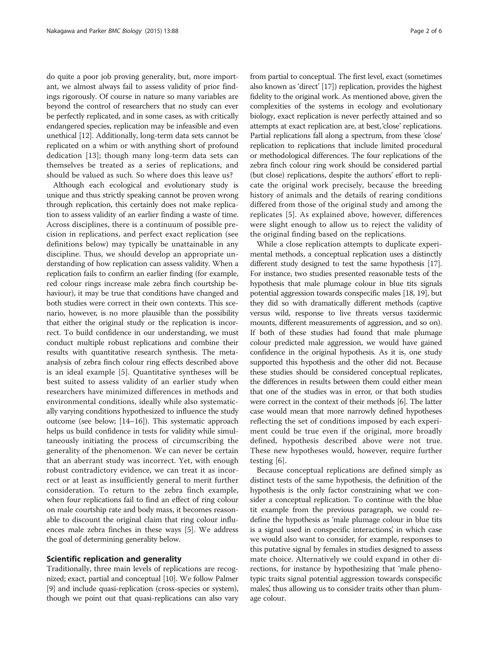do quite a poor job proving generality, but, more important, we almost always fail to assess validity of prior findings rigorously. Of course in nature so many variables are beyond the control of researchers that no study can ever be perfectly replicated, and in some cases, as with critically endangered species, replication may be infeasible and even unethical [\[12\]](#page-4-0). Additionally, long-term data sets cannot be replicated on a whim or with anything short of profound dedication [[13\]](#page-4-0); though many long-term data sets can themselves be treated as a series of replications, and should be valued as such. So where does this leave us?

Although each ecological and evolutionary study is unique and thus strictly speaking cannot be proven wrong through replication, this certainly does not make replication to assess validity of an earlier finding a waste of time. Across disciplines, there is a continuum of possible precision in replications, and perfect exact replication (see definitions below) may typically be unattainable in any discipline. Thus, we should develop an appropriate understanding of how replication can assess validity. When a replication fails to confirm an earlier finding (for example, red colour rings increase male zebra finch courtship behaviour), it may be true that conditions have changed and both studies were correct in their own contexts. This scenario, however, is no more plausible than the possibility that either the original study or the replication is incorrect. To build confidence in our understanding, we must conduct multiple robust replications and combine their results with quantitative research synthesis. The metaanalysis of zebra finch colour ring effects described above is an ideal example [[5\]](#page-4-0). Quantitative syntheses will be best suited to assess validity of an earlier study when researchers have minimized differences in methods and environmental conditions, ideally while also systematically varying conditions hypothesized to influence the study outcome (see below; [\[14](#page-4-0)–[16\]](#page-4-0)). This systematic approach helps us build confidence in tests for validity while simultaneously initiating the process of circumscribing the generality of the phenomenon. We can never be certain that an aberrant study was incorrect. Yet, with enough robust contradictory evidence, we can treat it as incorrect or at least as insufficiently general to merit further consideration. To return to the zebra finch example, when four replications fail to find an effect of ring colour on male courtship rate and body mass, it becomes reasonable to discount the original claim that ring colour influences male zebra finches in these ways [[5\]](#page-4-0). We address the goal of determining generality below.

### Scientific replication and generality

Traditionally, three main levels of replications are recognized; exact, partial and conceptual [[10](#page-4-0)]. We follow Palmer [[9](#page-4-0)] and include quasi-replication (cross-species or system), though we point out that quasi-replications can also vary from partial to conceptual. The first level, exact (sometimes also known as 'direct' [[17](#page-4-0)]) replication, provides the highest fidelity to the original work. As mentioned above, given the complexities of the systems in ecology and evolutionary biology, exact replication is never perfectly attained and so attempts at exact replication are, at best, 'close' replications. Partial replications fall along a spectrum, from these 'close' replication to replications that include limited procedural

or methodological differences. The four replications of the zebra finch colour ring work should be considered partial (but close) replications, despite the authors' effort to replicate the original work precisely, because the breeding history of animals and the details of rearing conditions differed from those of the original study and among the replicates [\[5](#page-4-0)]. As explained above, however, differences

were slight enough to allow us to reject the validity of the original finding based on the replications. While a close replication attempts to duplicate experimental methods, a conceptual replication uses a distinctly different study designed to test the same hypothesis [\[17](#page-4-0)]. For instance, two studies presented reasonable tests of the hypothesis that male plumage colour in blue tits signals potential aggression towards conspecific males [\[18](#page-4-0), [19\]](#page-4-0), but they did so with dramatically different methods (captive versus wild, response to live threats versus taxidermic mounts, different measurements of aggression, and so on). If both of these studies had found that male plumage colour predicted male aggression, we would have gained confidence in the original hypothesis. As it is, one study supported this hypothesis and the other did not. Because these studies should be considered conceptual replicates, the differences in results between them could either mean that one of the studies was in error, or that both studies were correct in the context of their methods [[6\]](#page-4-0). The latter case would mean that more narrowly defined hypotheses reflecting the set of conditions imposed by each experiment could be true even if the original, more broadly defined, hypothesis described above were not true. These new hypotheses would, however, require further testing [[6\]](#page-4-0).

Because conceptual replications are defined simply as distinct tests of the same hypothesis, the definition of the hypothesis is the only factor constraining what we consider a conceptual replication. To continue with the blue tit example from the previous paragraph, we could redefine the hypothesis as 'male plumage colour in blue tits is a signal used in conspecific interactions', in which case we would also want to consider, for example, responses to this putative signal by females in studies designed to assess mate choice. Alternatively we could expand in other directions, for instance by hypothesizing that 'male phenotypic traits signal potential aggression towards conspecific males', thus allowing us to consider traits other than plumage colour.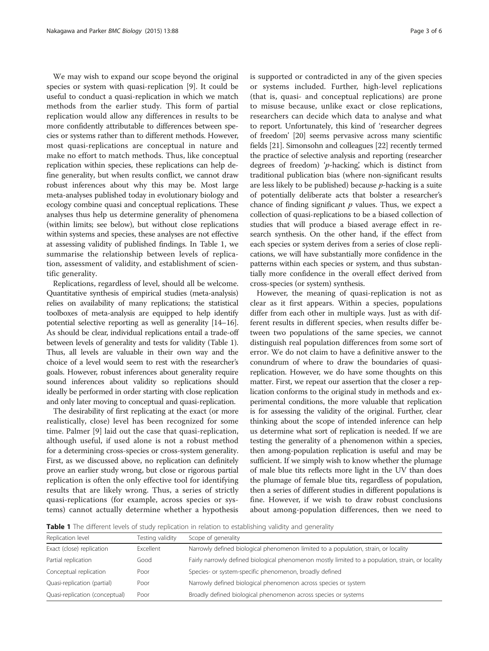We may wish to expand our scope beyond the original species or system with quasi-replication [\[9](#page-4-0)]. It could be useful to conduct a quasi-replication in which we match methods from the earlier study. This form of partial replication would allow any differences in results to be more confidently attributable to differences between species or systems rather than to different methods. However, most quasi-replications are conceptual in nature and make no effort to match methods. Thus, like conceptual replication within species, these replications can help define generality, but when results conflict, we cannot draw robust inferences about why this may be. Most large meta-analyses published today in evolutionary biology and ecology combine quasi and conceptual replications. These analyses thus help us determine generality of phenomena (within limits; see below), but without close replications within systems and species, these analyses are not effective at assessing validity of published findings. In Table 1, we summarise the relationship between levels of replication, assessment of validity, and establishment of scientific generality.

Replications, regardless of level, should all be welcome. Quantitative synthesis of empirical studies (meta-analysis) relies on availability of many replications; the statistical toolboxes of meta-analysis are equipped to help identify potential selective reporting as well as generality [[14](#page-4-0)–[16](#page-4-0)]. As should be clear, individual replications entail a trade-off between levels of generality and tests for validity (Table 1). Thus, all levels are valuable in their own way and the choice of a level would seem to rest with the researcher's goals. However, robust inferences about generality require sound inferences about validity so replications should ideally be performed in order starting with close replication and only later moving to conceptual and quasi-replication.

The desirability of first replicating at the exact (or more realistically, close) level has been recognized for some time. Palmer [\[9](#page-4-0)] laid out the case that quasi-replication, although useful, if used alone is not a robust method for a determining cross-species or cross-system generality. First, as we discussed above, no replication can definitely prove an earlier study wrong, but close or rigorous partial replication is often the only effective tool for identifying results that are likely wrong. Thus, a series of strictly quasi-replications (for example, across species or systems) cannot actually determine whether a hypothesis is supported or contradicted in any of the given species or systems included. Further, high-level replications (that is, quasi- and conceptual replications) are prone to misuse because, unlike exact or close replications, researchers can decide which data to analyse and what to report. Unfortunately, this kind of 'researcher degrees of freedom' [[20](#page-4-0)] seems pervasive across many scientific fields [\[21\]](#page-4-0). Simonsohn and colleagues [\[22\]](#page-4-0) recently termed the practice of selective analysis and reporting (researcher degrees of freedom) 'p-hacking', which is distinct from traditional publication bias (where non-significant results are less likely to be published) because  $p$ -hacking is a suite of potentially deliberate acts that bolster a researcher's chance of finding significant  $p$  values. Thus, we expect a collection of quasi-replications to be a biased collection of studies that will produce a biased average effect in research synthesis. On the other hand, if the effect from each species or system derives from a series of close replications, we will have substantially more confidence in the patterns within each species or system, and thus substantially more confidence in the overall effect derived from cross-species (or system) synthesis.

However, the meaning of quasi-replication is not as clear as it first appears. Within a species, populations differ from each other in multiple ways. Just as with different results in different species, when results differ between two populations of the same species, we cannot distinguish real population differences from some sort of error. We do not claim to have a definitive answer to the conundrum of where to draw the boundaries of quasireplication. However, we do have some thoughts on this matter. First, we repeat our assertion that the closer a replication conforms to the original study in methods and experimental conditions, the more valuable that replication is for assessing the validity of the original. Further, clear thinking about the scope of intended inference can help us determine what sort of replication is needed. If we are testing the generality of a phenomenon within a species, then among-population replication is useful and may be sufficient. If we simply wish to know whether the plumage of male blue tits reflects more light in the UV than does the plumage of female blue tits, regardless of population, then a series of different studies in different populations is fine. However, if we wish to draw robust conclusions about among-population differences, then we need to

Table 1 The different levels of study replication in relation to establishing validity and generality

| Replication level              | Testing validity | Scope of generality                                                                               |
|--------------------------------|------------------|---------------------------------------------------------------------------------------------------|
| Exact (close) replication      | Excellent        | Narrowly defined biological phenomenon limited to a population, strain, or locality               |
| Partial replication            | Good             | Fairly narrowly defined biological phenomenon mostly limited to a population, strain, or locality |
| Conceptual replication         | Poor             | Species- or system-specific phenomenon, broadly defined                                           |
| Quasi-replication (partial)    | Poor             | Narrowly defined biological phenomenon across species or system                                   |
| Quasi-replication (conceptual) | Poor             | Broadly defined biological phenomenon across species or systems                                   |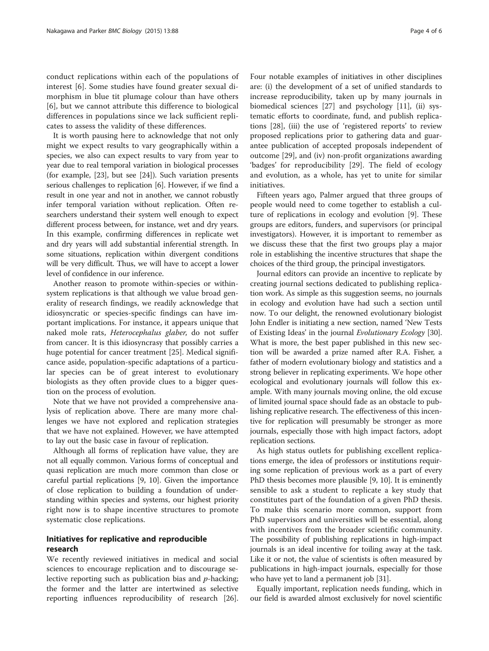conduct replications within each of the populations of interest [[6\]](#page-4-0). Some studies have found greater sexual dimorphism in blue tit plumage colour than have others [[6\]](#page-4-0), but we cannot attribute this difference to biological differences in populations since we lack sufficient replicates to assess the validity of these differences.

It is worth pausing here to acknowledge that not only might we expect results to vary geographically within a species, we also can expect results to vary from year to year due to real temporal variation in biological processes (for example, [[23](#page-4-0)], but see [\[24\]](#page-4-0)). Such variation presents serious challenges to replication [[6](#page-4-0)]. However, if we find a result in one year and not in another, we cannot robustly infer temporal variation without replication. Often researchers understand their system well enough to expect different process between, for instance, wet and dry years. In this example, confirming differences in replicate wet and dry years will add substantial inferential strength. In some situations, replication within divergent conditions will be very difficult. Thus, we will have to accept a lower level of confidence in our inference.

Another reason to promote within-species or withinsystem replications is that although we value broad generality of research findings, we readily acknowledge that idiosyncratic or species-specific findings can have important implications. For instance, it appears unique that naked mole rats, Heterocephalus glaber, do not suffer from cancer. It is this idiosyncrasy that possibly carries a huge potential for cancer treatment [[25\]](#page-4-0). Medical significance aside, population-specific adaptations of a particular species can be of great interest to evolutionary biologists as they often provide clues to a bigger question on the process of evolution.

Note that we have not provided a comprehensive analysis of replication above. There are many more challenges we have not explored and replication strategies that we have not explained. However, we have attempted to lay out the basic case in favour of replication.

Although all forms of replication have value, they are not all equally common. Various forms of conceptual and quasi replication are much more common than close or careful partial replications [[9](#page-4-0), [10](#page-4-0)]. Given the importance of close replication to building a foundation of understanding within species and systems, our highest priority right now is to shape incentive structures to promote systematic close replications.

## Initiatives for replicative and reproducible research

We recently reviewed initiatives in medical and social sciences to encourage replication and to discourage selective reporting such as publication bias and p-hacking; the former and the latter are intertwined as selective reporting influences reproducibility of research [\[26](#page-4-0)].

Four notable examples of initiatives in other disciplines are: (i) the development of a set of unified standards to increase reproducibility, taken up by many journals in biomedical sciences [\[27](#page-4-0)] and psychology [\[11](#page-4-0)], (ii) systematic efforts to coordinate, fund, and publish replications [\[28](#page-4-0)], (iii) the use of 'registered reports' to review proposed replications prior to gathering data and guarantee publication of accepted proposals independent of outcome [[29](#page-4-0)], and (iv) non-profit organizations awarding 'badges' for reproducibility [[29\]](#page-4-0). The field of ecology and evolution, as a whole, has yet to unite for similar initiatives.

Fifteen years ago, Palmer argued that three groups of people would need to come together to establish a culture of replications in ecology and evolution [[9\]](#page-4-0). These groups are editors, funders, and supervisors (or principal investigators). However, it is important to remember as we discuss these that the first two groups play a major role in establishing the incentive structures that shape the choices of the third group, the principal investigators.

Journal editors can provide an incentive to replicate by creating journal sections dedicated to publishing replication work. As simple as this suggestion seems, no journals in ecology and evolution have had such a section until now. To our delight, the renowned evolutionary biologist John Endler is initiating a new section, named 'New Tests of Existing Ideas' in the journal Evolutionary Ecology [[30](#page-5-0)]. What is more, the best paper published in this new section will be awarded a prize named after R.A. Fisher, a father of modern evolutionary biology and statistics and a strong believer in replicating experiments. We hope other ecological and evolutionary journals will follow this example. With many journals moving online, the old excuse of limited journal space should fade as an obstacle to publishing replicative research. The effectiveness of this incentive for replication will presumably be stronger as more journals, especially those with high impact factors, adopt replication sections.

As high status outlets for publishing excellent replications emerge, the idea of professors or institutions requiring some replication of previous work as a part of every PhD thesis becomes more plausible [\[9](#page-4-0), [10\]](#page-4-0). It is eminently sensible to ask a student to replicate a key study that constitutes part of the foundation of a given PhD thesis. To make this scenario more common, support from PhD supervisors and universities will be essential, along with incentives from the broader scientific community. The possibility of publishing replications in high-impact journals is an ideal incentive for toiling away at the task. Like it or not, the value of scientists is often measured by publications in high-impact journals, especially for those who have yet to land a permanent job [\[31](#page-5-0)].

Equally important, replication needs funding, which in our field is awarded almost exclusively for novel scientific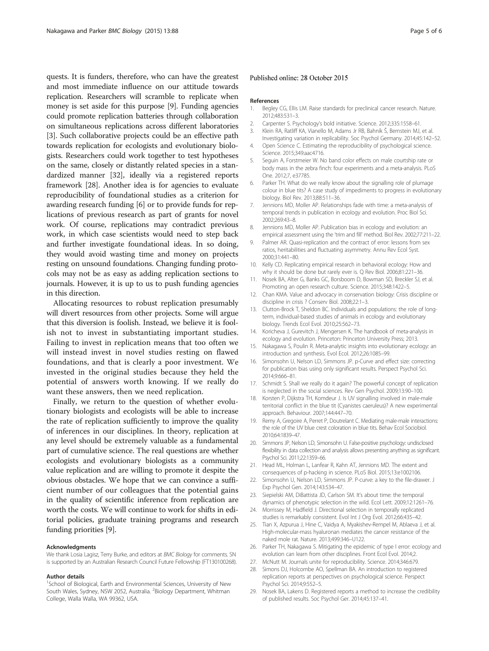<span id="page-4-0"></span>quests. It is funders, therefore, who can have the greatest and most immediate influence on our attitude towards replication. Researchers will scramble to replicate when money is set aside for this purpose [9]. Funding agencies could promote replication batteries through collaboration on simultaneous replications across different laboratories [3]. Such collaborative projects could be an effective path towards replication for ecologists and evolutionary biologists. Researchers could work together to test hypotheses on the same, closely or distantly related species in a standardized manner [\[32\]](#page-5-0), ideally via a registered reports framework [28]. Another idea is for agencies to evaluate reproducibility of foundational studies as a criterion for awarding research funding [6] or to provide funds for replications of previous research as part of grants for novel work. Of course, replications may contradict previous work, in which case scientists would need to step back and further investigate foundational ideas. In so doing, they would avoid wasting time and money on projects resting on unsound foundations. Changing funding protocols may not be as easy as adding replication sections to journals. However, it is up to us to push funding agencies in this direction.

Allocating resources to robust replication presumably will divert resources from other projects. Some will argue that this diversion is foolish. Instead, we believe it is foolish not to invest in substantiating important studies. Failing to invest in replication means that too often we will instead invest in novel studies resting on flawed foundations, and that is clearly a poor investment. We invested in the original studies because they held the potential of answers worth knowing. If we really do want these answers, then we need replication.

Finally, we return to the question of whether evolutionary biologists and ecologists will be able to increase the rate of replication sufficiently to improve the quality of inferences in our disciplines. In theory, replication at any level should be extremely valuable as a fundamental part of cumulative science. The real questions are whether ecologists and evolutionary biologists as a community value replication and are willing to promote it despite the obvious obstacles. We hope that we can convince a sufficient number of our colleagues that the potential gains in the quality of scientific inference from replication are worth the costs. We will continue to work for shifts in editorial policies, graduate training programs and research funding priorities [9].

#### Acknowledgments

We thank Losia Lagisz, Terry Burke, and editors at BMC Biology for comments. SN is supported by an Australian Research Council Future Fellowship (FT130100268).

#### Author details

<sup>1</sup>School of Biological, Earth and Environmental Sciences, University of New South Wales, Sydney, NSW 2052, Australia. <sup>2</sup>Biology Department, Whitman College, Walla Walla, WA 99362, USA.

#### Published online: 28 October 2015

#### References

- 1. Begley CG, Ellis LM. Raise standards for preclinical cancer research. Nature. 2012;483:531–3.
- 2. Carpenter S. Psychology's bold initiative. Science. 2012;335:1558–61.
- 3. Klein RA, Ratliff KA, Vianello M, Adams Jr RB, Bahník Š, Bernstein MJ, et al. Investigating variation in replicability. Soc Psychol Germany. 2014;45:142–52.
- 4. Open Science C. Estimating the reproducibility of psychological science. Science. 2015;349:aac4716.
- 5. Seguin A, Forstmeier W. No band color effects on male courtship rate or body mass in the zebra finch: four experiments and a meta-analysis. PLoS One. 2012;7, e37785.
- 6. Parker TH. What do we really know about the signalling role of plumage colour in blue tits? A case study of impediments to progress in evolutionary biology. Biol Rev. 2013;88:511–36.
- 7. Jennions MD, Moller AP. Relationships fade with time: a meta-analysis of temporal trends in publication in ecology and evolution. Proc Biol Sci. 2002;269:43–8.
- 8. Jennions MD, Moller AP. Publication bias in ecology and evolution: an empirical assessment using the 'trim and fill' method. Biol Rev. 2002;77:211–22.
- 9. Palmer AR. Quasi-replication and the contract of error: lessons from sex ratios, heritabilities and fluctuating asymmetry. Annu Rev Ecol Syst. 2000;31:441–80.
- 10. Kelly CD. Replicating empirical research in behavioral ecology: How and why it should be done but rarely ever is. Q Rev Biol. 2006;81:221–36.
- 11. Nosek BA, Alter G, Banks GC, Borsboom D, Bowman SD, Breckler SJ, et al. Promoting an open research culture. Science. 2015;348:1422–5.
- 12. Chan KMA. Value and advocacy in conservation biology: Crisis discipline or discipline in crisis ? Conserv Biol. 2008;22:1–3.
- 13. Clutton-Brock T, Sheldon BC. Individuals and populations: the role of longterm, individual-based studies of animals in ecology and evolutionary biology. Trends Ecol Evol. 2010;25:562–73.
- 14. Koricheva J, Gurevitch J, Mengersen K. The handbook of meta-analysis in ecology and evolution. Princeton: Princeton University Press; 2013.
- 15. Nakagawa S, Poulin R. Meta-analytic insights into evolutionary ecology: an introduction and synthesis. Evol Ecol. 2012;26:1085–99.
- 16. Simonsohn U, Nelson LD, Simmons JP. p-Curve and effect size: correcting for publication bias using only significant results. Perspect Psychol Sci. 2014;9:666–81.
- 17. Schmidt S. Shall we really do it again? The powerful concept of replication is neglected in the social sciences. Rev Gen Psychol. 2009;13:90–100.
- 18. Korsten P, Dijkstra TH, Komdeur J. Is UV signalling involved in male-male territorial conflict in the blue tit (Cyanistes caeruleus)? A new experimental approach. Behaviour. 2007;144:447–70.
- 19. Remy A, Gregoire A, Perret P, Doutrelant C. Mediating male-male interactions: the role of the UV blue crest coloration in blue tits. Behav Ecol Sociobiol. 2010;64:1839–47.
- 20. Simmons JP, Nelson LD, Simonsohn U. False-positive psychology: undisclosed flexibility in data collection and analysis allows presenting anything as significant. Psychol Sci. 2011;22:1359–66.
- 21. Head ML, Holman L, Lanfear R, Kahn AT, Jennions MD. The extent and consequences of p-hacking in science. PLoS Biol. 2015;13:e1002106.
- 22. Simonsohn U, Nelson LD, Simmons JP. P-curve: a key to the file-drawer. J Exp Psychol Gen. 2014;143:534–47.
- 23. Siepielski AM, DiBattista JD, Carlson SM. It's about time: the temporal dynamics of phenotypic selection in the wild. Ecol Lett. 2009;12:1261–76.
- 24. Morrissey M, Hadfield J. Directional selection in temporally replicated studies is remarkably consistent. Evol Int J Org Evol. 2012;66:435–42.
- 25. Tian X, Azpurua J, Hine C, Vaidya A, Myakishev-Rempel M, Ablaeva J, et al. High-molecular-mass hyaluronan mediates the cancer resistance of the naked mole rat. Nature. 2013;499:346–U122.
- 26. Parker TH, Nakagawa S. Mitigating the epidemic of type I error: ecology and evolution can learn from other disciplines. Front Ecol Evol. 2014;2.
- 27. McNutt M. Journals unite for reproducibility. Science. 2014;346:679.
- 28. Simons DJ, Holcombe AO, Spellman BA. An introduction to registered replication reports at perspectives on psychological science. Perspect Psychol Sci. 2014;9:552–5.
- 29. Nosek BA, Lakens D. Registered reports a method to increase the credibility of published results. Soc Psychol Ger. 2014;45:137–41.